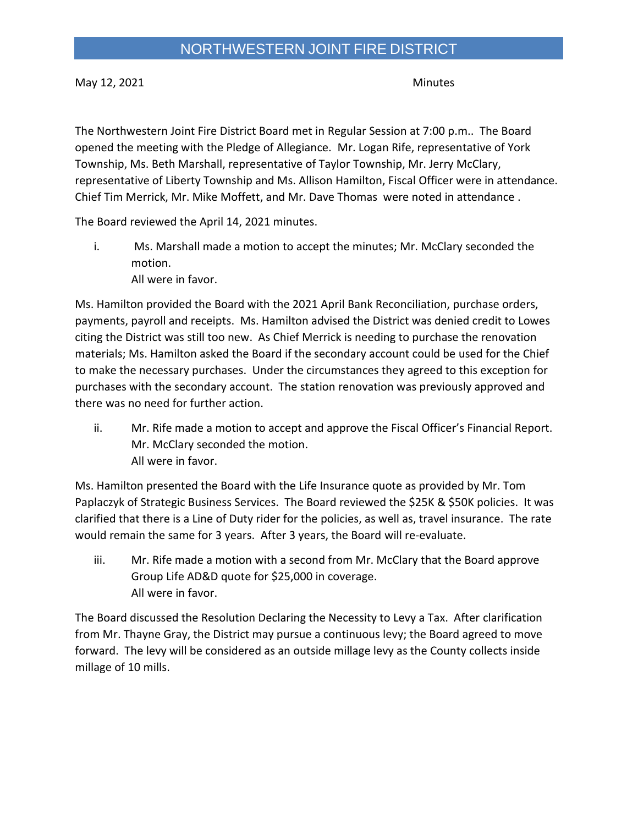May 12, 2021 Minutes

The Northwestern Joint Fire District Board met in Regular Session at 7:00 p.m.. The Board opened the meeting with the Pledge of Allegiance. Mr. Logan Rife, representative of York Township, Ms. Beth Marshall, representative of Taylor Township, Mr. Jerry McClary, representative of Liberty Township and Ms. Allison Hamilton, Fiscal Officer were in attendance. Chief Tim Merrick, Mr. Mike Moffett, and Mr. Dave Thomas were noted in attendance .

The Board reviewed the April 14, 2021 minutes.

i. Ms. Marshall made a motion to accept the minutes; Mr. McClary seconded the motion. All were in favor.

Ms. Hamilton provided the Board with the 2021 April Bank Reconciliation, purchase orders, payments, payroll and receipts. Ms. Hamilton advised the District was denied credit to Lowes citing the District was still too new. As Chief Merrick is needing to purchase the renovation materials; Ms. Hamilton asked the Board if the secondary account could be used for the Chief to make the necessary purchases. Under the circumstances they agreed to this exception for purchases with the secondary account. The station renovation was previously approved and there was no need for further action.

ii. Mr. Rife made a motion to accept and approve the Fiscal Officer's Financial Report. Mr. McClary seconded the motion. All were in favor.

Ms. Hamilton presented the Board with the Life Insurance quote as provided by Mr. Tom Paplaczyk of Strategic Business Services. The Board reviewed the \$25K & \$50K policies. It was clarified that there is a Line of Duty rider for the policies, as well as, travel insurance. The rate would remain the same for 3 years. After 3 years, the Board will re-evaluate.

iii. Mr. Rife made a motion with a second from Mr. McClary that the Board approve Group Life AD&D quote for \$25,000 in coverage. All were in favor.

The Board discussed the Resolution Declaring the Necessity to Levy a Tax. After clarification from Mr. Thayne Gray, the District may pursue a continuous levy; the Board agreed to move forward. The levy will be considered as an outside millage levy as the County collects inside millage of 10 mills.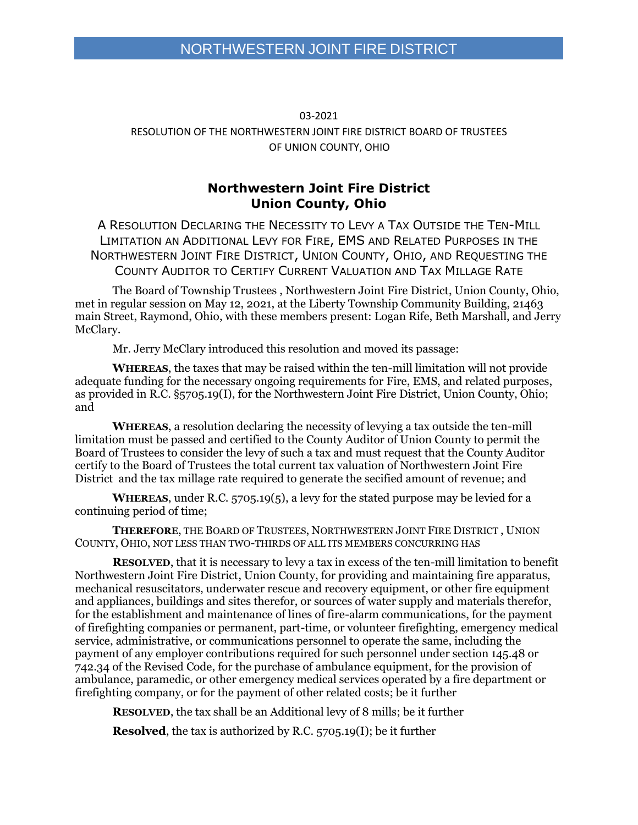#### 03-2021 RESOLUTION OF THE NORTHWESTERN JOINT FIRE DISTRICT BOARD OF TRUSTEES OF UNION COUNTY, OHIO

#### **Northwestern Joint Fire District Union County, Ohio**

A RESOLUTION DECLARING THE NECESSITY TO LEVY A TAX OUTSIDE THE TEN-MILL LIMITATION AN ADDITIONAL LEVY FOR FIRE, EMS AND RELATED PURPOSES IN THE NORTHWESTERN JOINT FIRE DISTRICT, UNION COUNTY, OHIO, AND REQUESTING THE COUNTY AUDITOR TO CERTIFY CURRENT VALUATION AND TAX MILLAGE RATE

The Board of Township Trustees , Northwestern Joint Fire District, Union County, Ohio, met in regular session on May 12, 2021, at the Liberty Township Community Building, 21463 main Street, Raymond, Ohio, with these members present: Logan Rife, Beth Marshall, and Jerry McClary.

Mr. Jerry McClary introduced this resolution and moved its passage:

**WHEREAS**, the taxes that may be raised within the ten-mill limitation will not provide adequate funding for the necessary ongoing requirements for Fire, EMS, and related purposes, as provided in R.C. §5705.19(I), for the Northwestern Joint Fire District, Union County, Ohio; and

**WHEREAS**, a resolution declaring the necessity of levying a tax outside the ten-mill limitation must be passed and certified to the County Auditor of Union County to permit the Board of Trustees to consider the levy of such a tax and must request that the County Auditor certify to the Board of Trustees the total current tax valuation of Northwestern Joint Fire District and the tax millage rate required to generate the secified amount of revenue; and

**WHEREAS**, under R.C. 5705.19(5), a levy for the stated purpose may be levied for a continuing period of time;

**THEREFORE**, THE BOARD OF TRUSTEES, NORTHWESTERN JOINT FIRE DISTRICT , UNION COUNTY, OHIO, NOT LESS THAN TWO-THIRDS OF ALL ITS MEMBERS CONCURRING HAS

**RESOLVED**, that it is necessary to levy a tax in excess of the ten-mill limitation to benefit Northwestern Joint Fire District, Union County, for providing and maintaining fire apparatus, mechanical resuscitators, underwater rescue and recovery equipment, or other fire equipment and appliances, buildings and sites therefor, or sources of water supply and materials therefor, for the establishment and maintenance of lines of fire-alarm communications, for the payment of firefighting companies or permanent, part-time, or volunteer firefighting, emergency medical service, administrative, or communications personnel to operate the same, including the payment of any employer contributions required for such personnel under section 145.48 or 742.34 of the Revised Code, for the purchase of ambulance equipment, for the provision of ambulance, paramedic, or other emergency medical services operated by a fire department or firefighting company, or for the payment of other related costs; be it further

**RESOLVED**, the tax shall be an Additional levy of 8 mills; be it further

**Resolved**, the tax is authorized by R.C. 5705.19(I); be it further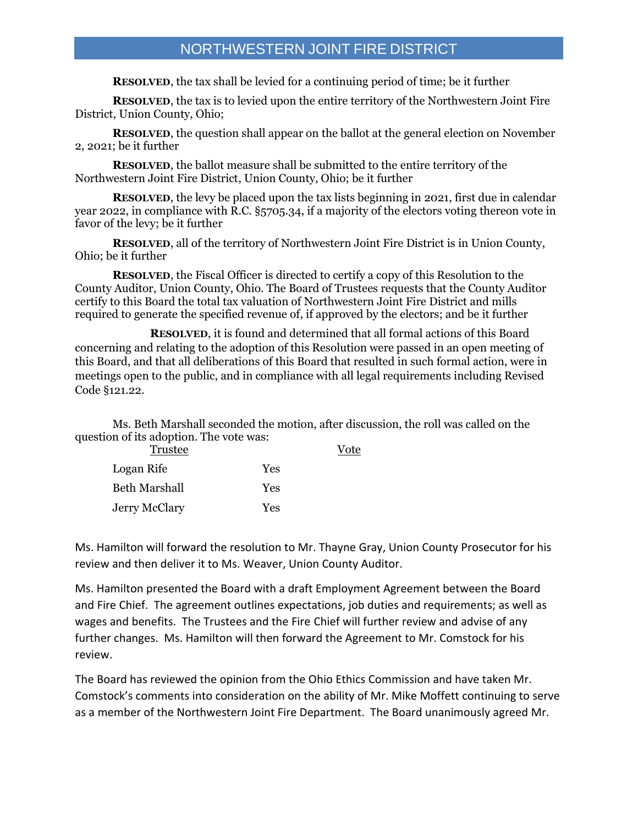**RESOLVED**, the tax shall be levied for a continuing period of time; be it further

**RESOLVED**, the tax is to levied upon the entire territory of the Northwestern Joint Fire District, Union County, Ohio;

**RESOLVED**, the question shall appear on the ballot at the general election on November 2, 2021; be it further

**RESOLVED**, the ballot measure shall be submitted to the entire territory of the Northwestern Joint Fire District, Union County, Ohio; be it further

**RESOLVED**, the levy be placed upon the tax lists beginning in 2021, first due in calendar year 2022, in compliance with R.C. §5705.34, if a majority of the electors voting thereon vote in favor of the levy; be it further

**RESOLVED**, all of the territory of Northwestern Joint Fire District is in Union County, Ohio; be it further

**RESOLVED**, the Fiscal Officer is directed to certify a copy of this Resolution to the County Auditor, Union County, Ohio. The Board of Trustees requests that the County Auditor certify to this Board the total tax valuation of Northwestern Joint Fire District and mills required to generate the specified revenue of, if approved by the electors; and be it further

**RESOLVED**, it is found and determined that all formal actions of this Board concerning and relating to the adoption of this Resolution were passed in an open meeting of this Board, and that all deliberations of this Board that resulted in such formal action, were in meetings open to the public, and in compliance with all legal requirements including Revised Code §121.22.

Ms. Beth Marshall seconded the motion, after discussion, the roll was called on the question of its adoption. The vote was:

| Trustee       |     |  |
|---------------|-----|--|
| Logan Rife    | Yes |  |
| Beth Marshall | Yes |  |
| Jerry McClary | Yes |  |

Ms. Hamilton will forward the resolution to Mr. Thayne Gray, Union County Prosecutor for his review and then deliver it to Ms. Weaver, Union County Auditor.

Ms. Hamilton presented the Board with a draft Employment Agreement between the Board and Fire Chief. The agreement outlines expectations, job duties and requirements; as well as wages and benefits. The Trustees and the Fire Chief will further review and advise of any further changes. Ms. Hamilton will then forward the Agreement to Mr. Comstock for his review.

The Board has reviewed the opinion from the Ohio Ethics Commission and have taken Mr. Comstock's comments into consideration on the ability of Mr. Mike Moffett continuing to serve as a member of the Northwestern Joint Fire Department. The Board unanimously agreed Mr.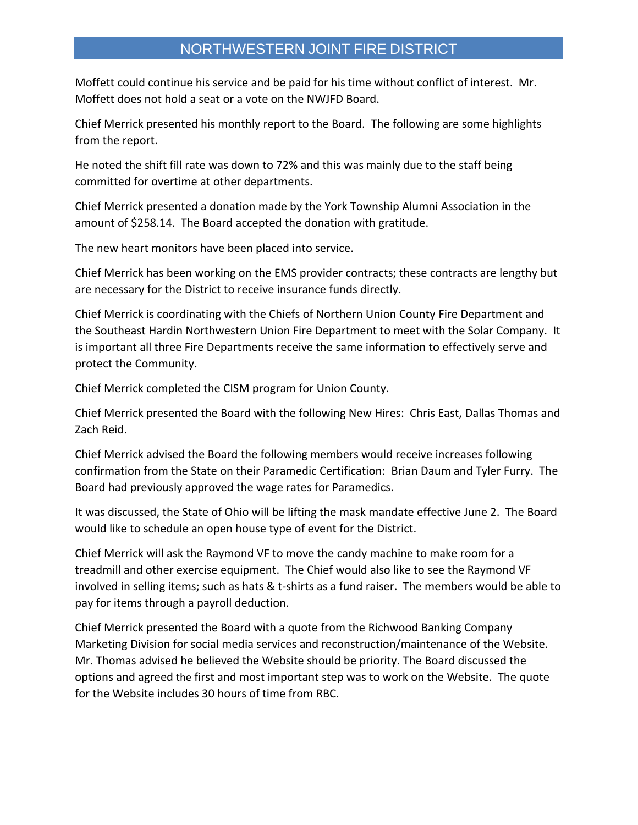Moffett could continue his service and be paid for his time without conflict of interest. Mr. Moffett does not hold a seat or a vote on the NWJFD Board.

Chief Merrick presented his monthly report to the Board. The following are some highlights from the report.

He noted the shift fill rate was down to 72% and this was mainly due to the staff being committed for overtime at other departments.

Chief Merrick presented a donation made by the York Township Alumni Association in the amount of \$258.14. The Board accepted the donation with gratitude.

The new heart monitors have been placed into service.

Chief Merrick has been working on the EMS provider contracts; these contracts are lengthy but are necessary for the District to receive insurance funds directly.

Chief Merrick is coordinating with the Chiefs of Northern Union County Fire Department and the Southeast Hardin Northwestern Union Fire Department to meet with the Solar Company. It is important all three Fire Departments receive the same information to effectively serve and protect the Community.

Chief Merrick completed the CISM program for Union County.

Chief Merrick presented the Board with the following New Hires: Chris East, Dallas Thomas and Zach Reid.

Chief Merrick advised the Board the following members would receive increases following confirmation from the State on their Paramedic Certification: Brian Daum and Tyler Furry. The Board had previously approved the wage rates for Paramedics.

It was discussed, the State of Ohio will be lifting the mask mandate effective June 2. The Board would like to schedule an open house type of event for the District.

Chief Merrick will ask the Raymond VF to move the candy machine to make room for a treadmill and other exercise equipment. The Chief would also like to see the Raymond VF involved in selling items; such as hats & t-shirts as a fund raiser. The members would be able to pay for items through a payroll deduction.

Chief Merrick presented the Board with a quote from the Richwood Banking Company Marketing Division for social media services and reconstruction/maintenance of the Website. Mr. Thomas advised he believed the Website should be priority. The Board discussed the options and agreed the first and most important step was to work on the Website. The quote for the Website includes 30 hours of time from RBC.